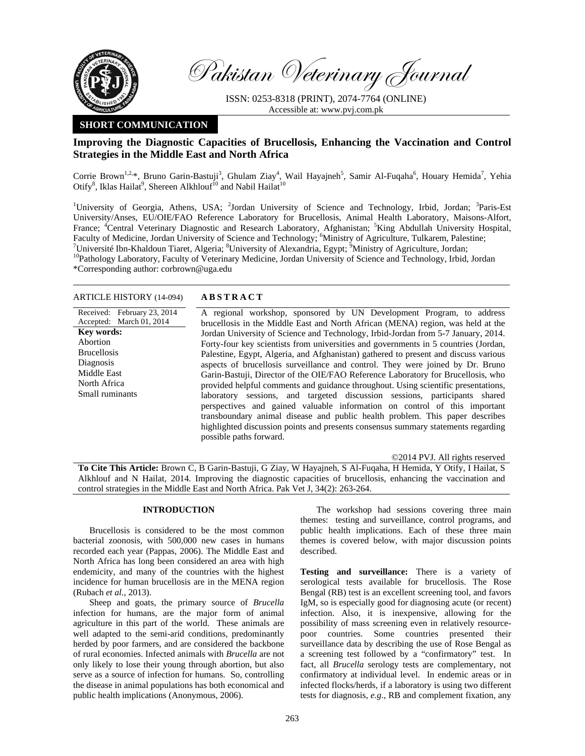

Pakistan Veterinary Journal

ISSN: 0253-8318 (PRINT), 2074-7764 (ONLINE) Accessible at: www.pvj.com.pk

## **SHORT COMMUNICATION**

## **Improving the Diagnostic Capacities of Brucellosis, Enhancing the Vaccination and Control Strategies in the Middle East and North Africa**

Corrie Brown<sup>1,2,\*</sup>, Bruno Garin-Bastuji<sup>3</sup>, Ghulam Ziay<sup>4</sup>, Wail Hayajneh<sup>5</sup>, Samir Al-Fuqaha<sup>6</sup>, Houary Hemida<sup>7</sup>, Yehia Otify<sup>8</sup>, Iklas Hailat<sup>9</sup>, Shereen Alkhlouf<sup>10</sup> and Nabil Hailat<sup>10</sup>

<sup>1</sup>University of Georgia, Athens, USA; <sup>2</sup>Jordan University of Science and Technology, Irbid, Jordan; <sup>3</sup>Paris-Est University/Anses, EU/OIE/FAO Reference Laboratory for Brucellosis, Animal Health Laboratory, Maisons-Alfort, France; <sup>4</sup>Central Veterinary Diagnostic and Research Laboratory, Afghanistan; <sup>5</sup>King Abdullah University Hospital, Faculty of Medicine, Jordan University of Science and Technology; <sup>6</sup>Ministry of Agriculture, Tulkarem, Palestine;<br><sup>7</sup>Université lhe Kholdour Tigget, Algeria, <sup>8</sup>University of Algyordrie, Fount, <sup>9</sup>Ministry of Agriculture, Université Ibn-Khaldoun Tiaret, Algeria; <sup>8</sup>University of Alexandria, Egypt; <sup>9</sup> <sup>10</sup>Pathology Laboratory, Faculty of Veterinary Medicine, Jordan University of Science and Technology, Irbid, Jordan \*Corresponding author: corbrown@uga.edu

ARTICLE HISTORY (14-094) **ABSTRACT** 

Received: February 23, 2014 Accepted: March 01, 2014 A regional workshop, sponsored by UN Development Program, to address brucellosis in the Middle East and North African (MENA) region, was held at the Jordan University of Science and Technology, Irbid-Jordan from 5-7 January, 2014. Forty-four key scientists from universities and governments in 5 countries (Jordan, Palestine, Egypt, Algeria, and Afghanistan) gathered to present and discuss various aspects of brucellosis surveillance and control. They were joined by Dr. Bruno Garin-Bastuji, Director of the OIE/FAO Reference Laboratory for Brucellosis, who provided helpful comments and guidance throughout. Using scientific presentations, laboratory sessions, and targeted discussion sessions, participants shared perspectives and gained valuable information on control of this important transboundary animal disease and public health problem. This paper describes highlighted discussion points and presents consensus summary statements regarding possible paths forward. **Key words:**  Abortion Brucellosis **Diagnosis** Middle East North Africa Small ruminants

©2014 PVJ. All rights reserved

**To Cite This Article:** Brown C, B Garin-Bastuji, G Ziay, W Hayajneh, S Al-Fuqaha, H Hemida, Y Otify, I Hailat, S Alkhlouf and N Hailat, 2014. Improving the diagnostic capacities of brucellosis, enhancing the vaccination and control strategies in the Middle East and North Africa. Pak Vet J, 34(2): 263-264.

## **INTRODUCTION**

Brucellosis is considered to be the most common bacterial zoonosis, with 500,000 new cases in humans recorded each year (Pappas, 2006). The Middle East and North Africa has long been considered an area with high endemicity, and many of the countries with the highest incidence for human brucellosis are in the MENA region (Rubach *et al.*, 2013).

Sheep and goats, the primary source of *Brucella* infection for humans, are the major form of animal agriculture in this part of the world. These animals are well adapted to the semi-arid conditions, predominantly herded by poor farmers, and are considered the backbone of rural economies. Infected animals with *Brucella* are not only likely to lose their young through abortion, but also serve as a source of infection for humans. So, controlling the disease in animal populations has both economical and public health implications (Anonymous, 2006).

The workshop had sessions covering three main themes: testing and surveillance, control programs, and public health implications. Each of these three main themes is covered below, with major discussion points described.

**Testing and surveillance:** There is a variety of serological tests available for brucellosis. The Rose Bengal (RB) test is an excellent screening tool, and favors IgM, so is especially good for diagnosing acute (or recent) infection. Also, it is inexpensive, allowing for the possibility of mass screening even in relatively resourcepoor countries. Some countries presented their surveillance data by describing the use of Rose Bengal as a screening test followed by a "confirmatory" test. In fact, all *Brucella* serology tests are complementary, not confirmatory at individual level. In endemic areas or in infected flocks/herds, if a laboratory is using two different tests for diagnosis, *e.g*., RB and complement fixation, any